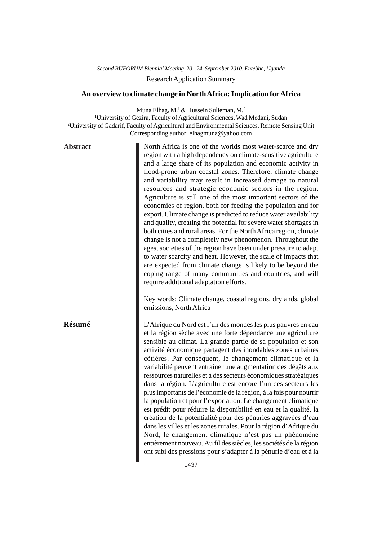## *Second RUFORUM Biennial Meeting 20 - 24 September 2010, Entebbe, Uganda* Research Application Summary

## **An overview to climate change in North Africa: Implication for Africa**

Muna Elhag, M.<sup>1</sup> & Hussein Sulieman, M.<sup>2</sup> <sup>1</sup>University of Gezira, Faculty of Agricultural Sciences, Wad Medani, Sudan 2 University of Gadarif, Faculty of Agricultural and Environmental Sciences, Remote Sensing Unit Corresponding author: elhagmuna@yahoo.com

| <b>Abstract</b> | North Africa is one of the worlds most water-scarce and dry<br>region with a high dependency on climate-sensitive agriculture<br>and a large share of its population and economic activity in<br>flood-prone urban coastal zones. Therefore, climate change<br>and variability may result in increased damage to natural<br>resources and strategic economic sectors in the region.<br>Agriculture is still one of the most important sectors of the<br>economies of region, both for feeding the population and for<br>export. Climate change is predicted to reduce water availability<br>and quality, creating the potential for severe water shortages in<br>both cities and rural areas. For the North Africa region, climate<br>change is not a completely new phenomenon. Throughout the<br>ages, societies of the region have been under pressure to adapt<br>to water scarcity and heat. However, the scale of impacts that<br>are expected from climate change is likely to be beyond the<br>coping range of many communities and countries, and will<br>require additional adaptation efforts.<br>Key words: Climate change, coastal regions, drylands, global<br>emissions, North Africa |
|-----------------|------------------------------------------------------------------------------------------------------------------------------------------------------------------------------------------------------------------------------------------------------------------------------------------------------------------------------------------------------------------------------------------------------------------------------------------------------------------------------------------------------------------------------------------------------------------------------------------------------------------------------------------------------------------------------------------------------------------------------------------------------------------------------------------------------------------------------------------------------------------------------------------------------------------------------------------------------------------------------------------------------------------------------------------------------------------------------------------------------------------------------------------------------------------------------------------------------|
| Résumé          | L'Afrique du Nord est l'un des mondes les plus pauvres en eau<br>et la région sèche avec une forte dépendance une agriculture<br>sensible au climat. La grande partie de sa population et son<br>activité économique partagent des inondables zones urbaines<br>côtières. Par conséquent, le changement climatique et la<br>variabilité peuvent entraîner une augmentation des dégâts aux<br>ressources naturelles et à des secteurs économiques stratégiques<br>dans la région. L'agriculture est encore l'un des secteurs les<br>plus importants de l'économie de la région, à la fois pour nourrir<br>la population et pour l'exportation. Le changement climatique<br>est prédit pour réduire la disponibilité en eau et la qualité, la<br>création de la potentialité pour des pénuries aggravées d'eau<br>dans les villes et les zones rurales. Pour la région d'Afrique du<br>Nord, le changement climatique n'est pas un phénomène<br>entièrement nouveau. Au fil des siècles, les sociétés de la région<br>ont subi des pressions pour s'adapter à la pénurie d'eau et à la                                                                                                                 |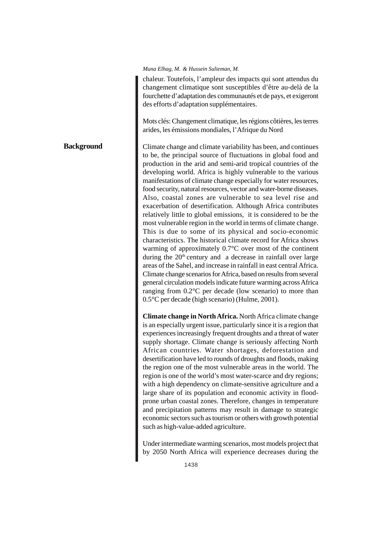## *Muna Elhag, M. & Hussein Sulieman, M.*

**Background**

chaleur. Toutefois, l'ampleur des impacts qui sont attendus du changement climatique sont susceptibles d'être au-delà de la fourchette d'adaptation des communautés et de pays, et exigeront des efforts d'adaptation supplémentaires.

Mots clés: Changement climatique, les régions côtières, les terres arides, les émissions mondiales, l'Afrique du Nord

Climate change and climate variability has been, and continues to be, the principal source of fluctuations in global food and production in the arid and semi-arid tropical countries of the developing world. Africa is highly vulnerable to the various manifestations of climate change especially for water resources, food security, natural resources, vector and water-borne diseases. Also, coastal zones are vulnerable to sea level rise and exacerbation of desertification. Although Africa contributes relatively little to global emissions, it is considered to be the most vulnerable region in the world in terms of climate change. This is due to some of its physical and socio-economic characteristics. The historical climate record for Africa shows warming of approximately 0.7°C over most of the continent during the  $20<sup>th</sup>$  century and a decrease in rainfall over large areas of the Sahel, and increase in rainfall in east central Africa. Climate change scenarios for Africa, based on results from several general circulation models indicate future warming across Africa ranging from 0.2°C per decade (low scenario) to more than 0.5°C per decade (high scenario) (Hulme, 2001).

**Climate change in North Africa.** North Africa climate change is an especially urgent issue, particularly since it is a region that experiences increasingly frequent droughts and a threat of water supply shortage. Climate change is seriously affecting North African countries. Water shortages, deforestation and desertification have led to rounds of droughts and floods, making the region one of the most vulnerable areas in the world. The region is one of the world's most water-scarce and dry regions; with a high dependency on climate-sensitive agriculture and a large share of its population and economic activity in floodprone urban coastal zones. Therefore, changes in temperature and precipitation patterns may result in damage to strategic economic sectors such as tourism or others with growth potential such as high-value-added agriculture.

Under intermediate warming scenarios, most models project that by 2050 North Africa will experience decreases during the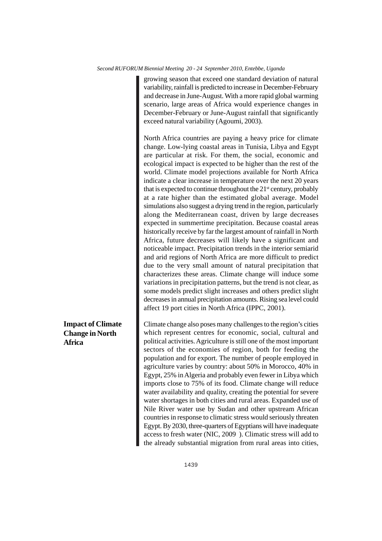*Second RUFORUM Biennial Meeting 20 - 24 September 2010, Entebbe, Uganda*

growing season that exceed one standard deviation of natural variability, rainfall is predicted to increase in December-February and decrease in June-August. With a more rapid global warming scenario, large areas of Africa would experience changes in December-February or June-August rainfall that significantly exceed natural variability (Agoumi, 2003).

North Africa countries are paying a heavy price for climate change. Low-lying coastal areas in Tunisia, Libya and Egypt are particular at risk. For them, the social, economic and ecological impact is expected to be higher than the rest of the world. Climate model projections available for North Africa indicate a clear increase in temperature over the next 20 years that is expected to continue throughout the  $21<sup>st</sup>$  century, probably at a rate higher than the estimated global average. Model simulations also suggest a drying trend in the region, particularly along the Mediterranean coast, driven by large decreases expected in summertime precipitation. Because coastal areas historically receive by far the largest amount of rainfall in North Africa, future decreases will likely have a significant and noticeable impact. Precipitation trends in the interior semiarid and arid regions of North Africa are more difficult to predict due to the very small amount of natural precipitation that characterizes these areas. Climate change will induce some variations in precipitation patterns, but the trend is not clear, as some models predict slight increases and others predict slight decreases in annual precipitation amounts. Rising sea level could affect 19 port cities in North Africa (IPPC, 2001).

**Impact of Climate Change in North Africa**

Climate change also poses many challenges to the region's cities which represent centres for economic, social, cultural and political activities. Agriculture is still one of the most important sectors of the economies of region, both for feeding the population and for export. The number of people employed in agriculture varies by country: about 50% in Morocco, 40% in Egypt, 25% in Algeria and probably even fewer in Libya which imports close to 75% of its food. Climate change will reduce water availability and quality, creating the potential for severe water shortages in both cities and rural areas. Expanded use of Nile River water use by Sudan and other upstream African countries in response to climatic stress would seriously threaten Egypt. By 2030, three-quarters of Egyptians will have inadequate access to fresh water (NIC, 2009 ). Climatic stress will add to the already substantial migration from rural areas into cities,